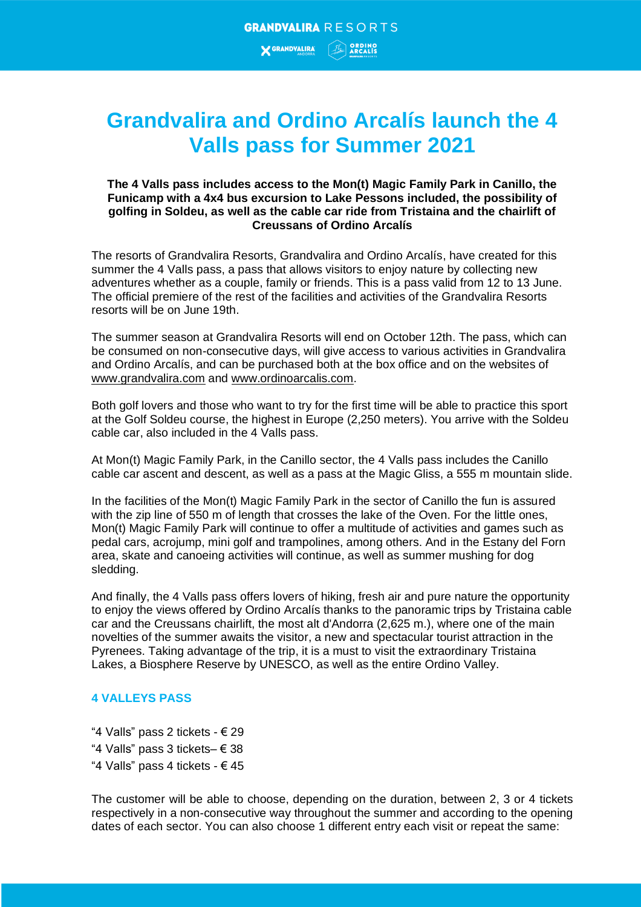## **Grandvalira and Ordino Arcalís launch the 4 Valls pass for Summer 2021**

## **The 4 Valls pass includes access to the Mon(t) Magic Family Park in Canillo, the Funicamp with a 4x4 bus excursion to Lake Pessons included, the possibility of golfing in Soldeu, as well as the cable car ride from Tristaina and the chairlift of Creussans of Ordino Arcalís**

The resorts of Grandvalira Resorts, Grandvalira and Ordino Arcalís, have created for this summer the 4 Valls pass, a pass that allows visitors to enjoy nature by collecting new adventures whether as a couple, family or friends. This is a pass valid from 12 to 13 June. The official premiere of the rest of the facilities and activities of the Grandvalira Resorts resorts will be on June 19th.

The summer season at Grandvalira Resorts will end on October 12th. The pass, which can be consumed on non-consecutive days, will give access to various activities in Grandvalira and Ordino Arcalís, and can be purchased both at the box office and on the websites of [www.grandvalira.com](http://www.grandvalira.com/) and [www.ordinoarcalis.com.](http://www.ordinoarcalis.com/)

Both golf lovers and those who want to try for the first time will be able to practice this sport at the Golf Soldeu course, the highest in Europe (2,250 meters). You arrive with the Soldeu cable car, also included in the 4 Valls pass.

At Mon(t) Magic Family Park, in the Canillo sector, the 4 Valls pass includes the Canillo cable car ascent and descent, as well as a pass at the Magic Gliss, a 555 m mountain slide.

In the facilities of the Mon(t) Magic Family Park in the sector of Canillo the fun is assured with the zip line of 550 m of length that crosses the lake of the Oven. For the little ones, Mon(t) Magic Family Park will continue to offer a multitude of activities and games such as pedal cars, acrojump, mini golf and trampolines, among others. And in the Estany del Forn area, skate and canoeing activities will continue, as well as summer mushing for dog sledding.

And finally, the 4 Valls pass offers lovers of hiking, fresh air and pure nature the opportunity to enjoy the views offered by Ordino Arcalís thanks to the panoramic trips by Tristaina cable car and the Creussans chairlift, the most alt d'Andorra (2,625 m.), where one of the main novelties of the summer awaits the visitor, a new and spectacular tourist attraction in the Pyrenees. Taking advantage of the trip, it is a must to visit the extraordinary Tristaina Lakes, a Biosphere Reserve by UNESCO, as well as the entire Ordino Valley.

## **4 VALLEYS PASS**

"4 Valls" pass 2 tickets -  $\in$  29 "4 Valls" pass 3 tickets– € 38 "4 Valls" pass 4 tickets -  $\in$  45

The customer will be able to choose, depending on the duration, between 2, 3 or 4 tickets respectively in a non-consecutive way throughout the summer and according to the opening dates of each sector. You can also choose 1 different entry each visit or repeat the same: